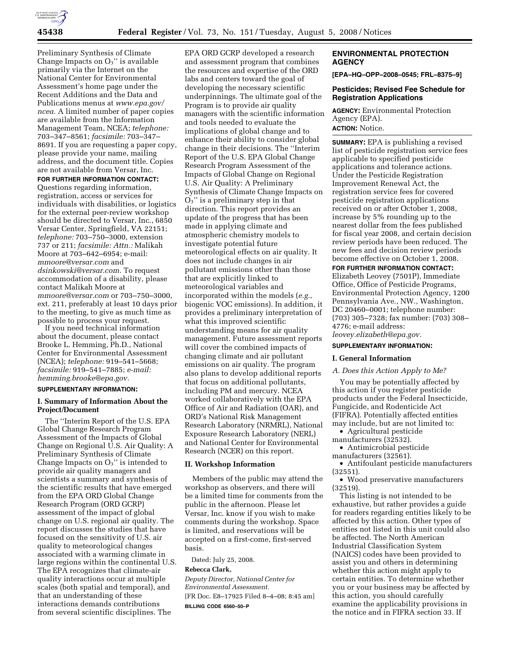

Preliminary Synthesis of Climate Change Impacts on  $O_3$ " is available primarily via the Internet on the National Center for Environmental Assessment's home page under the Recent Additions and the Data and Publications menus at *www.epa.gov/ ncea.* A limited number of paper copies are available from the Information Management Team, NCEA; *telephone:*  703–347–8561; *facsimile:* 703–347– 8691. If you are requesting a paper copy, please provide your name, mailing address, and the document title. Copies are not available from Versar, Inc.

**FOR FURTHER INFORMATION CONTACT:** 

Questions regarding information, registration, access or services for individuals with disabilities, or logistics for the external peer-review workshop should be directed to Versar, Inc., 6850 Versar Center, Springfield, VA 22151; *telephone:* 703–750–3000, extension 737 or 211; *facsimile: Attn.:* Malikah Moore at 703–642–6954; e-mail: *mmoore@versar.com* and *dsinkowski@versar.com.* To request accommodation of a disability, please contact Malikah Moore at *mmoore@versar.com* or 703–750–3000, ext. 211, preferably at least 10 days prior to the meeting, to give as much time as possible to process your request.

If you need technical information about the document, please contact Brooke L. Hemming, Ph.D., National Center for Environmental Assessment (NCEA); *telephone:* 919–541–5668; *facsimile:* 919–541–7885; *e-mail: hemming.brooke@epa.gov.* 

# **SUPPLEMENTARY INFORMATION:**

# **I. Summary of Information About the Project/Document**

The ''Interim Report of the U.S. EPA Global Change Research Program Assessment of the Impacts of Global Change on Regional U.S. Air Quality: A Preliminary Synthesis of Climate Change Impacts on  $O_3$ " is intended to provide air quality managers and scientists a summary and synthesis of the scientific results that have emerged from the EPA ORD Global Change Research Program (ORD GCRP) assessment of the impact of global change on U.S. regional air quality. The report discusses the studies that have focused on the sensitivity of U.S. air quality to meteorological changes associated with a warming climate in large regions within the continental U.S. The EPA recognizes that climate-air quality interactions occur at multiple scales (both spatial and temporal), and that an understanding of these interactions demands contributions from several scientific disciplines. The

EPA ORD GCRP developed a research and assessment program that combines the resources and expertise of the ORD labs and centers toward the goal of developing the necessary scientific underpinnings. The ultimate goal of the Program is to provide air quality managers with the scientific information and tools needed to evaluate the implications of global change and to enhance their ability to consider global change in their decisions. The ''Interim Report of the U.S. EPA Global Change Research Program Assessment of the Impacts of Global Change on Regional U.S. Air Quality: A Preliminary Synthesis of Climate Change Impacts on  $O<sub>3</sub>$ " is a preliminary step in that direction. This report provides an update of the progress that has been made in applying climate and atmospheric chemistry models to investigate potential future meteorological effects on air quality. It does not include changes in air pollutant emissions other than those that are explicitly linked to meteorological variables and incorporated within the models (*e.g.*, biogenic VOC emissions). In addition, it provides a preliminary interpretation of what this improved scientific understanding means for air quality management. Future assessment reports will cover the combined impacts of changing climate and air pollutant emissions on air quality. The program also plans to develop additional reports that focus on additional pollutants, including PM and mercury. NCEA worked collaboratively with the EPA Office of Air and Radiation (OAR), and ORD's National Risk Management Research Laboratory (NRMRL), National Exposure Research Laboratory (NERL) and National Center for Environmental Research (NCER) on this report.

#### **II. Workshop Information**

Members of the public may attend the workshop as observers, and there will be a limited time for comments from the public in the afternoon. Please let Versar, Inc. know if you wish to make comments during the workshop. Space is limited, and reservations will be accepted on a first-come, first-served basis.

Dated: July 25, 2008.

## **Rebecca Clark,**

*Deputy Director, National Center for Environmental Assessment.*  [FR Doc. E8–17925 Filed 8–4–08; 8:45 am] **BILLING CODE 6560–50–P** 

# **ENVIRONMENTAL PROTECTION AGENCY**

**[EPA–HQ–OPP–2008–0545; FRL–8375–9]** 

## **Pesticides; Revised Fee Schedule for Registration Applications**

**AGENCY:** Environmental Protection Agency (EPA). **ACTION:** Notice.

**SUMMARY:** EPA is publishing a revised list of pesticide registration service fees applicable to specified pesticide applications and tolerance actions. Under the Pesticide Registration Improvement Renewal Act, the registration service fees for covered pesticide registration applications received on or after October 1, 2008, increase by 5% rounding up to the nearest dollar from the fees published for fiscal year 2008, and certain decision review periods have been reduced. The new fees and decision review periods become effective on October 1, 2008.

**FOR FURTHER INFORMATION CONTACT:**  Elizabeth Leovey (7501P), Immediate Office, Office of Pesticide Programs, Environmental Protection Agency, 1200 Pennsylvania Ave., NW., Washington, DC 20460–0001; telephone number: (703) 305–7328; fax number: (703) 308– 4776; e-mail address: *leovey.elizabeth@epa.gov.* 

#### **SUPPLEMENTARY INFORMATION:**

#### **I. General Information**

#### *A. Does this Action Apply to Me?*

You may be potentially affected by this action if you register pesticide products under the Federal Insecticide, Fungicide, and Rodenticide Act (FIFRA). Potentially affected entities may include, but are not limited to:

- Agricultural pesticide
- manufacturers (32532).

• Antimicrobial pesticide manufacturers (32561).

• Antifoulant pesticide manufacturers

(32551).

• Wood preservative manufacturers (32519).

This listing is not intended to be exhaustive, but rather provides a guide for readers regarding entities likely to be affected by this action. Other types of entities not listed in this unit could also be affected. The North American Industrial Classification System (NAICS) codes have been provided to assist you and others in determining whether this action might apply to certain entities. To determine whether you or your business may be affected by this action, you should carefully examine the applicability provisions in the notice and in FIFRA section 33. If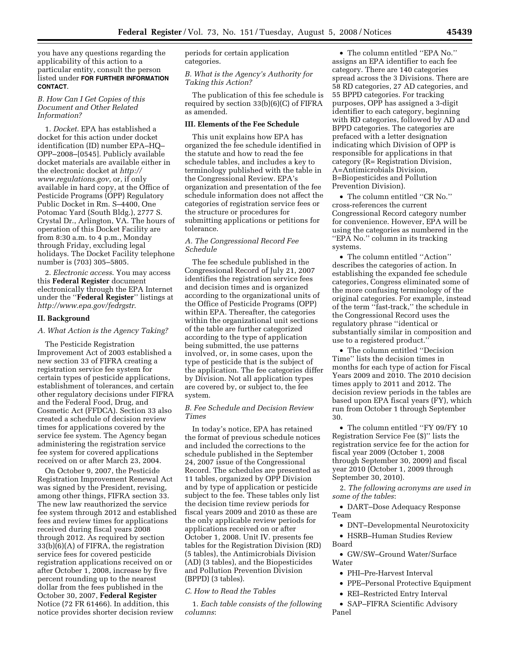you have any questions regarding the applicability of this action to a particular entity, consult the person listed under **FOR FURTHER INFORMATION CONTACT**.

# *B. How Can I Get Copies of this Document and Other Related Information?*

1. *Docket*. EPA has established a docket for this action under docket identification (ID) number EPA–HQ– OPP–2008–[0545]. Publicly available docket materials are available either in the electronic docket at *http:// www.regulations.gov*, or, if only available in hard copy, at the Office of Pesticide Programs (OPP) Regulatory Public Docket in Rm. S–4400, One Potomac Yard (South Bldg.), 2777 S. Crystal Dr., Arlington, VA. The hours of operation of this Docket Facility are from 8:30 a.m. to 4 p.m., Monday through Friday, excluding legal holidays. The Docket Facility telephone number is (703) 305–5805.

2. *Electronic access*. You may access this **Federal Register** document electronically through the EPA Internet under the ''**Federal Register**'' listings at *http://www.epa.gov/fedrgstr*.

#### **II. Background**

#### *A. What Action is the Agency Taking?*

The Pesticide Registration Improvement Act of 2003 established a new section 33 of FIFRA creating a registration service fee system for certain types of pesticide applications, establishment of tolerances, and certain other regulatory decisions under FIFRA and the Federal Food, Drug, and Cosmetic Act (FFDCA). Section 33 also created a schedule of decision review times for applications covered by the service fee system. The Agency began administering the registration service fee system for covered applications received on or after March 23, 2004.

On October 9, 2007, the Pesticide Registration Improvement Renewal Act was signed by the President, revising, among other things, FIFRA section 33. The new law reauthorized the service fee system through 2012 and established fees and review times for applications received during fiscal years 2008 through 2012. As required by section 33(b)(6)(A) of FIFRA, the registration service fees for covered pesticide registration applications received on or after October 1, 2008, increase by five percent rounding up to the nearest dollar from the fees published in the October 30, 2007, **Federal Register**  Notice (72 FR 61466). In addition, this notice provides shorter decision review

periods for certain application categories.

*B. What is the Agency's Authority for Taking this Action?* 

The publication of this fee schedule is required by section 33(b)(6)(C) of FIFRA as amended.

## **III. Elements of the Fee Schedule**

This unit explains how EPA has organized the fee schedule identified in the statute and how to read the fee schedule tables, and includes a key to terminology published with the table in the Congressional Review. EPA's organization and presentation of the fee schedule information does not affect the categories of registration service fees or the structure or procedures for submitting applications or petitions for tolerance.

# *A. The Congressional Record Fee Schedule*

The fee schedule published in the Congressional Record of July 21, 2007 identifies the registration service fees and decision times and is organized according to the organizational units of the Office of Pesticide Programs (OPP) within EPA. Thereafter, the categories within the organizational unit sections of the table are further categorized according to the type of application being submitted, the use patterns involved, or, in some cases, upon the type of pesticide that is the subject of the application. The fee categories differ by Division. Not all application types are covered by, or subject to, the fee system.

## *B. Fee Schedule and Decision Review Times*

In today's notice, EPA has retained the format of previous schedule notices and included the corrections to the schedule published in the September 24, 2007 issue of the Congressional Record. The schedules are presented as 11 tables, organized by OPP Division and by type of application or pesticide subject to the fee. These tables only list the decision time review periods for fiscal years 2009 and 2010 as these are the only applicable review periods for applications received on or after October 1, 2008. Unit IV. presents fee tables for the Registration Division (RD) (5 tables), the Antimicrobials Division (AD) (3 tables), and the Biopesticides and Pollution Prevention Division (BPPD) (3 tables).

#### *C. How to Read the Tables*

1. *Each table consists of the following columns*:

• The column entitled ''EPA No.'' assigns an EPA identifier to each fee category. There are 140 categories spread across the 3 Divisions. There are 58 RD categories, 27 AD categories, and 55 BPPD categories. For tracking purposes, OPP has assigned a 3-digit identifier to each category, beginning with RD categories, followed by AD and BPPD categories. The categories are prefaced with a letter designation indicating which Division of OPP is responsible for applications in that category (R= Registration Division, A=Antimicrobials Division, B=Biopesticides and Pollution Prevention Division).

• The column entitled ''CR No.'' cross-references the current Congressional Record category number for convenience. However, EPA will be using the categories as numbered in the ''EPA No.'' column in its tracking systems.

• The column entitled ''Action'' describes the categories of action. In establishing the expanded fee schedule categories, Congress eliminated some of the more confusing terminology of the original categories. For example, instead of the term ''fast-track,'' the schedule in the Congressional Record uses the regulatory phrase ''identical or substantially similar in composition and use to a registered product.''

• The column entitled ''Decision Time'' lists the decision times in months for each type of action for Fiscal Years 2009 and 2010. The 2010 decision times apply to 2011 and 2012. The decision review periods in the tables are based upon EPA fiscal years (FY), which run from October 1 through September 30.

• The column entitled ''FY 09/FY 10 Registration Service Fee (\$)'' lists the registration service fee for the action for fiscal year 2009 (October 1, 2008 through September 30, 2009) and fiscal year 2010 (October 1, 2009 through September 30, 2010).

2. *The following acronyms are used in some of the tables*:

• DART–Dose Adequacy Response Team

- DNT–Developmental Neurotoxicity
- HSRB–Human Studies Review Board

• GW/SW–Ground Water/Surface Water

- PHI–Pre-Harvest Interval
- PPE–Personal Protective Equipment
- REI–Restricted Entry Interval

• SAP–FIFRA Scientific Advisory Panel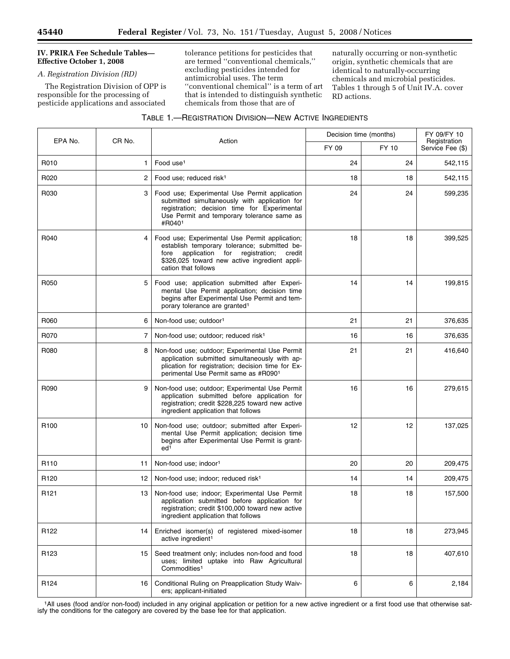# **IV. PRIRA Fee Schedule Tables— Effective October 1, 2008**

# *A. Registration Division (RD)*

The Registration Division of OPP is responsible for the processing of pesticide applications and associated

tolerance petitions for pesticides that are termed ''conventional chemicals,'' excluding pesticides intended for antimicrobial uses. The term "conventional chemical" is a term of art that is intended to distinguish synthetic chemicals from those that are of

naturally occurring or non-synthetic origin, synthetic chemicals that are identical to naturally-occurring chemicals and microbial pesticides. Tables 1 through 5 of Unit IV.A. cover RD actions.

| TABLE 1.-REGISTRATION DIVISION-NEW ACTIVE INGREDIENTS |  |  |
|-------------------------------------------------------|--|--|
|-------------------------------------------------------|--|--|

| EPA No.          | CR No. | Action                                                                                                                                                                                                                    | Decision time (months) |       | FY 09/FY 10<br>Registration |
|------------------|--------|---------------------------------------------------------------------------------------------------------------------------------------------------------------------------------------------------------------------------|------------------------|-------|-----------------------------|
|                  |        |                                                                                                                                                                                                                           | FY 09                  | FY 10 | Service Fee (\$)            |
| R010             | 1      | Food use <sup>1</sup>                                                                                                                                                                                                     | 24                     | 24    | 542,115                     |
| R020             | 2      | Food use; reduced risk <sup>1</sup>                                                                                                                                                                                       | 18                     | 18    | 542,115                     |
| R030             | 3      | Food use; Experimental Use Permit application<br>submitted simultaneously with application for<br>registration; decision time for Experimental<br>Use Permit and temporary tolerance same as<br>#R0401                    | 24                     | 24    | 599,235                     |
| R040             | 4      | Food use; Experimental Use Permit application;<br>establish temporary tolerance; submitted be-<br>application for registration;<br>credit<br>fore<br>\$326,025 toward new active ingredient appli-<br>cation that follows | 18                     | 18    | 399,525                     |
| R050             | 5      | Food use; application submitted after Experi-<br>mental Use Permit application; decision time<br>begins after Experimental Use Permit and tem-<br>porary tolerance are granted <sup>1</sup>                               | 14                     | 14    | 199,815                     |
| R060             | 6      | Non-food use; outdoor <sup>1</sup>                                                                                                                                                                                        | 21                     | 21    | 376,635                     |
| R070             | 7      | Non-food use; outdoor; reduced risk <sup>1</sup>                                                                                                                                                                          | 16                     | 16    | 376,635                     |
| R080             | 8      | Non-food use; outdoor; Experimental Use Permit<br>application submitted simultaneously with ap-<br>plication for registration; decision time for Ex-<br>perimental Use Permit same as #R0901                              | 21                     | 21    | 416,640                     |
| R090             | 9      | Non-food use; outdoor; Experimental Use Permit<br>application submitted before application for<br>registration; credit \$228,225 toward new active<br>ingredient application that follows                                 | 16                     | 16    | 279,615                     |
| R <sub>100</sub> | 10     | Non-food use; outdoor; submitted after Experi-<br>mental Use Permit application; decision time<br>begins after Experimental Use Permit is grant-<br>ed <sup>1</sup>                                                       | 12                     | 12    | 137,025                     |
| R <sub>110</sub> | 11     | Non-food use; indoor <sup>1</sup>                                                                                                                                                                                         | 20                     | 20    | 209,475                     |
| R <sub>120</sub> | 12     | Non-food use; indoor; reduced risk <sup>1</sup>                                                                                                                                                                           | 14                     | 14    | 209,475                     |
| R <sub>121</sub> | 13     | Non-food use; indoor; Experimental Use Permit<br>application submitted before application for<br>registration; credit \$100,000 toward new active<br>ingredient application that follows                                  | 18                     | 18    | 157,500                     |
| R <sub>122</sub> | 14     | Enriched isomer(s) of registered mixed-isomer<br>active ingredient <sup>1</sup>                                                                                                                                           | 18                     | 18    | 273,945                     |
| R <sub>123</sub> | 15     | Seed treatment only; includes non-food and food<br>uses; limited uptake into Raw Agricultural<br>Commodities <sup>1</sup>                                                                                                 | 18                     | 18    | 407,610                     |
| R124             | 16     | Conditional Ruling on Preapplication Study Waiv-<br>ers; applicant-initiated                                                                                                                                              | 6                      | 6     | 2,184                       |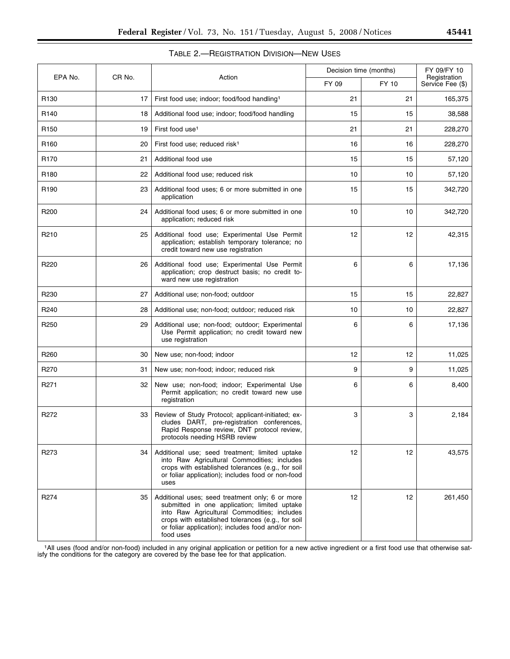۰

| <b>TABLE 2.- REGISTRATION DIVISION-NEW USES</b> |  |  |
|-------------------------------------------------|--|--|
|-------------------------------------------------|--|--|

| EPA No.          | CR No. |                                                                                                                                                                                                                                                                       | Decision time (months) |       | FY 09/FY 10                      |
|------------------|--------|-----------------------------------------------------------------------------------------------------------------------------------------------------------------------------------------------------------------------------------------------------------------------|------------------------|-------|----------------------------------|
|                  |        | Action                                                                                                                                                                                                                                                                | FY 09                  | FY 10 | Registration<br>Service Fee (\$) |
| R <sub>130</sub> | 17     | First food use; indoor; food/food handling <sup>1</sup>                                                                                                                                                                                                               | 21                     | 21    | 165,375                          |
| R140             | 18     | Additional food use; indoor; food/food handling                                                                                                                                                                                                                       | 15                     | 15    | 38,588                           |
| R <sub>150</sub> | 19     | First food use <sup>1</sup>                                                                                                                                                                                                                                           | 21                     | 21    | 228,270                          |
| R <sub>160</sub> | 20     | First food use; reduced risk <sup>1</sup>                                                                                                                                                                                                                             | 16                     | 16    | 228,270                          |
| R <sub>170</sub> | 21     | Additional food use                                                                                                                                                                                                                                                   | 15                     | 15    | 57,120                           |
| R <sub>180</sub> | 22     | Additional food use; reduced risk                                                                                                                                                                                                                                     | 10                     | 10    | 57,120                           |
| R <sub>190</sub> | 23     | Additional food uses; 6 or more submitted in one<br>application                                                                                                                                                                                                       | 15                     | 15    | 342,720                          |
| R <sub>200</sub> | 24     | Additional food uses; 6 or more submitted in one<br>application; reduced risk                                                                                                                                                                                         | 10                     | 10    | 342,720                          |
| R <sub>210</sub> | 25     | Additional food use; Experimental Use Permit<br>application; establish temporary tolerance; no<br>credit toward new use registration                                                                                                                                  | 12                     | 12    | 42,315                           |
| R <sub>220</sub> | 26     | Additional food use; Experimental Use Permit<br>application; crop destruct basis; no credit to-<br>ward new use registration                                                                                                                                          | 6                      | 6     | 17,136                           |
| R <sub>230</sub> | 27     | Additional use; non-food; outdoor                                                                                                                                                                                                                                     | 15                     | 15    | 22,827                           |
| R <sub>240</sub> | 28     | Additional use; non-food; outdoor; reduced risk                                                                                                                                                                                                                       | 10                     | 10    | 22,827                           |
| R <sub>250</sub> | 29     | Additional use; non-food; outdoor; Experimental<br>Use Permit application; no credit toward new<br>use registration                                                                                                                                                   | 6                      | 6     | 17,136                           |
| R <sub>260</sub> | 30     | New use; non-food; indoor                                                                                                                                                                                                                                             | 12                     | 12    | 11,025                           |
| R270             | 31     | New use; non-food; indoor; reduced risk                                                                                                                                                                                                                               | 9                      | 9     | 11,025                           |
| R <sub>271</sub> | 32     | New use; non-food; indoor; Experimental Use<br>Permit application; no credit toward new use<br>registration                                                                                                                                                           | 6                      | 6     | 8,400                            |
| R272             | 33     | Review of Study Protocol; applicant-initiated; ex-<br>cludes DART, pre-registration conferences,<br>Rapid Response review, DNT protocol review,<br>protocols needing HSRB review                                                                                      | 3                      | 3     | 2,184                            |
| R273             | 34     | Additional use; seed treatment; limited uptake<br>into Raw Agricultural Commodities; includes<br>crops with established tolerances (e.g., for soil<br>or foliar application); includes food or non-food<br>uses                                                       | 12                     | 12    | 43,575                           |
| R274             | 35     | Additional uses; seed treatment only; 6 or more<br>submitted in one application; limited uptake<br>into Raw Agricultural Commodities; includes<br>crops with established tolerances (e.g., for soil<br>or foliar application); includes food and/or non-<br>food uses | 12                     | 12    | 261,450                          |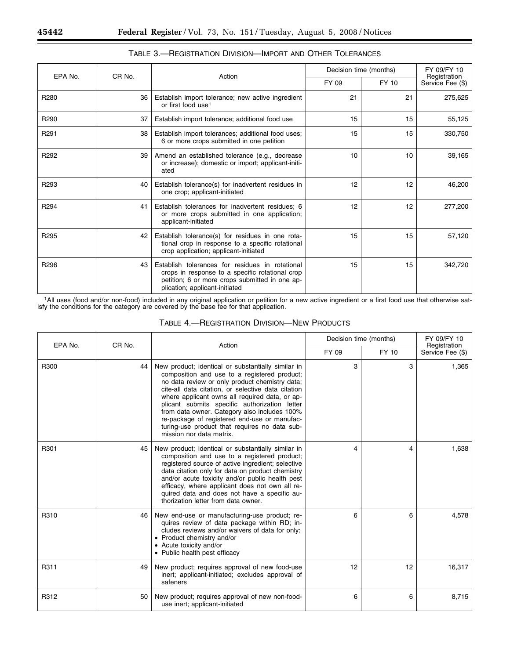п

| EPA No.          | CR <sub>No.</sub> |                                                                                                                                                                                        | Decision time (months) |       | FY 09/FY 10                      |
|------------------|-------------------|----------------------------------------------------------------------------------------------------------------------------------------------------------------------------------------|------------------------|-------|----------------------------------|
|                  |                   | Action                                                                                                                                                                                 | FY 09                  | FY 10 | Registration<br>Service Fee (\$) |
| R280             | 36                | Establish import tolerance; new active ingredient<br>or first food use <sup>1</sup>                                                                                                    | 21                     | 21    | 275,625                          |
| R290             | 37                | Establish import tolerance; additional food use                                                                                                                                        | 15                     | 15    | 55,125                           |
| R <sub>291</sub> | 38                | Establish import tolerances; additional food uses;<br>6 or more crops submitted in one petition                                                                                        | 15                     | 15    | 330,750                          |
| R292             | 39                | Amend an established tolerance (e.g., decrease<br>or increase); domestic or import; applicant-initi-<br>ated                                                                           | 10                     | 10    | 39,165                           |
| R <sub>293</sub> | 40                | Establish tolerance(s) for inadvertent residues in<br>one crop; applicant-initiated                                                                                                    | 12                     | 12    | 46,200                           |
| R <sub>294</sub> | 41                | Establish tolerances for inadvertent residues; 6<br>or more crops submitted in one application;<br>applicant-initiated                                                                 | 12                     | 12    | 277,200                          |
| R295             | 42                | Establish tolerance(s) for residues in one rota-<br>tional crop in response to a specific rotational<br>crop application; applicant-initiated                                          | 15                     | 15    | 57,120                           |
| R296             | 43                | Establish tolerances for residues in rotational<br>crops in response to a specific rotational crop<br>petition; 6 or more crops submitted in one ap-<br>plication; applicant-initiated | 15                     | 15    | 342.720                          |

# TABLE 3.—REGISTRATION DIVISION—IMPORT AND OTHER TOLERANCES

| <b>TABLE 4.- REGISTRATION DIVISION-NEW PRODUCTS</b> |  |  |
|-----------------------------------------------------|--|--|
|-----------------------------------------------------|--|--|

| EPA No. | CR No. | Action                                                                                                                                                                                                                                                                                                                                                                                                                                                                                     |       | Decision time (months) |                                  |
|---------|--------|--------------------------------------------------------------------------------------------------------------------------------------------------------------------------------------------------------------------------------------------------------------------------------------------------------------------------------------------------------------------------------------------------------------------------------------------------------------------------------------------|-------|------------------------|----------------------------------|
|         |        |                                                                                                                                                                                                                                                                                                                                                                                                                                                                                            | FY 09 | FY 10                  | Registration<br>Service Fee (\$) |
| R300    | 44     | New product; identical or substantially similar in<br>composition and use to a registered product;<br>no data review or only product chemistry data;<br>cite-all data citation, or selective data citation<br>where applicant owns all required data, or ap-<br>plicant submits specific authorization letter<br>from data owner. Category also includes 100%<br>re-package of registered end-use or manufac-<br>turing-use product that requires no data sub-<br>mission nor data matrix. | 3     | 3                      | 1,365                            |
| R301    | 45     | New product; identical or substantially similar in<br>composition and use to a registered product;<br>registered source of active ingredient; selective<br>data citation only for data on product chemistry<br>and/or acute toxicity and/or public health pest<br>efficacy, where applicant does not own all re-<br>quired data and does not have a specific au-<br>thorization letter from data owner.                                                                                    | 4     | 4                      | 1,638                            |
| R310    | 46     | New end-use or manufacturing-use product; re-<br>quires review of data package within RD; in-<br>cludes reviews and/or waivers of data for only:<br>• Product chemistry and/or<br>• Acute toxicity and/or<br>• Public health pest efficacy                                                                                                                                                                                                                                                 | 6     | 6                      | 4.578                            |
| R311    | 49     | New product; requires approval of new food-use<br>inert; applicant-initiated; excludes approval of<br>safeners                                                                                                                                                                                                                                                                                                                                                                             | 12    | 12                     | 16,317                           |
| R312    | 50     | New product; requires approval of new non-food-<br>use inert; applicant-initiated                                                                                                                                                                                                                                                                                                                                                                                                          | 6     | 6                      | 8,715                            |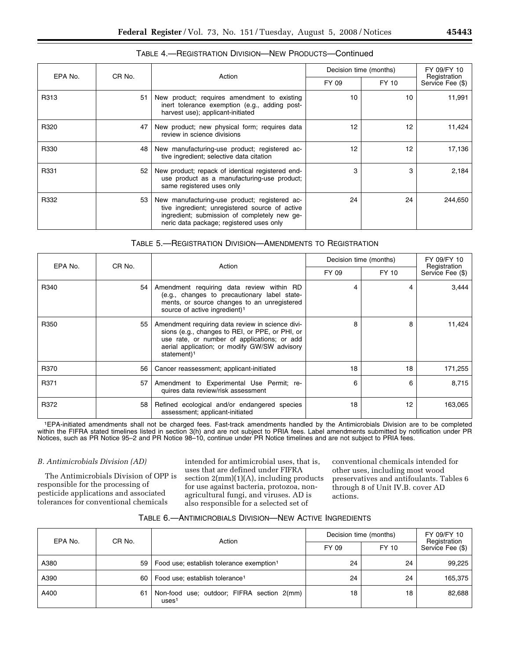| EPA No. | CR No.          | Action                                                                                                                                                                                      | Decision time (months) |       | FY 09/FY 10                      |
|---------|-----------------|---------------------------------------------------------------------------------------------------------------------------------------------------------------------------------------------|------------------------|-------|----------------------------------|
|         |                 |                                                                                                                                                                                             | FY 09                  | FY 10 | Registration<br>Service Fee (\$) |
| R313    | 51              | New product; requires amendment to existing<br>inert tolerance exemption (e.g., adding post-<br>harvest use); applicant-initiated                                                           | 10                     | 10    | 11,991                           |
| R320    | 47              | New product; new physical form; requires data<br>review in science divisions                                                                                                                | 12                     | 12    | 11,424                           |
| R330    | 48              | New manufacturing-use product; registered ac-<br>tive ingredient; selective data citation                                                                                                   | 12                     | 12    | 17,136                           |
| R331    | 52 <sup>2</sup> | New product; repack of identical registered end-<br>use product as a manufacturing-use product;<br>same registered uses only                                                                | 3                      | 3     | 2,184                            |
| R332    | 53              | New manufacturing-use product; registered ac-<br>tive ingredient; unregistered source of active<br>ingredient; submission of completely new ge-<br>neric data package; registered uses only | 24                     | 24    | 244,650                          |

# TABLE 4.—REGISTRATION DIVISION—NEW PRODUCTS—Continued

# TABLE 5.—REGISTRATION DIVISION—AMENDMENTS TO REGISTRATION

| EPA No. | CR No. | Action                                                                                                                                                                                                                        | Decision time (months) |       | FY 09/FY 10<br>Registration |
|---------|--------|-------------------------------------------------------------------------------------------------------------------------------------------------------------------------------------------------------------------------------|------------------------|-------|-----------------------------|
|         |        |                                                                                                                                                                                                                               | FY 09                  | FY 10 | Service Fee (\$)            |
| R340    | 54     | Amendment requiring data review within RD<br>(e.g., changes to precautionary label state-<br>ments, or source changes to an unregistered<br>source of active ingredient) <sup>1</sup>                                         |                        | 4     | 3,444                       |
| R350    | 55     | Amendment requiring data review in science divi-<br>sions (e.g., changes to REI, or PPE, or PHI, or<br>use rate, or number of applications; or add<br>aerial application; or modify GW/SW advisory<br>statement) <sup>1</sup> | 8                      | 8     | 11,424                      |
| R370    | 56     | Cancer reassessment; applicant-initiated                                                                                                                                                                                      | 18                     | 18    | 171,255                     |
| R371    | 57     | Amendment to Experimental Use Permit; re-<br>quires data review/risk assessment                                                                                                                                               | 6                      | 6     | 8,715                       |
| R372    | 58     | Refined ecological and/or endangered species<br>assessment; applicant-initiated                                                                                                                                               | 18                     | 12    | 163,065                     |

1EPA-initiated amendments shall not be charged fees. Fast-track amendments handled by the Antimicrobials Division are to be completed within the FIFRA stated timelines listed in section 3(h) and are not subject to PRIA fees. Label amendments submitted by notification under PR Notices, such as PR Notice 95–2 and PR Notice 98–10, continue under PR Notice timelines and are not subject to PRIA fees.

# *B. Antimicrobials Division (AD)*

The Antimicrobials Division of OPP is responsible for the processing of pesticide applications and associated tolerances for conventional chemicals

intended for antimicrobial uses, that is, uses that are defined under FIFRA section 2(mm)(1)(A), including products for use against bacteria, protozoa, nonagricultural fungi, and viruses. AD is also responsible for a selected set of

conventional chemicals intended for other uses, including most wood preservatives and antifoulants. Tables 6 through 8 of Unit IV.B. cover AD actions.

| TABLE 6.—ANTIMICROBIALS DIVISION—NEW ACTIVE INGREDIENTS |  |  |  |
|---------------------------------------------------------|--|--|--|
|---------------------------------------------------------|--|--|--|

| CR No.<br>EPA No. |    | Action                                                          | Decision time (months) | FY 09/FY 10<br>Registration<br>Service Fee (\$) |         |
|-------------------|----|-----------------------------------------------------------------|------------------------|-------------------------------------------------|---------|
|                   |    | FY 09                                                           | FY 10                  |                                                 |         |
| A380              | 59 | Food use; establish tolerance exemption <sup>1</sup>            | 24                     | 24                                              | 99,225  |
| A390              | 60 | Food use; establish tolerance <sup>1</sup>                      | 24                     | 24                                              | 165,375 |
| A400              | 61 | Non-food use; outdoor; FIFRA section 2(mm)<br>uses <sup>1</sup> | 18                     | 18                                              | 82,688  |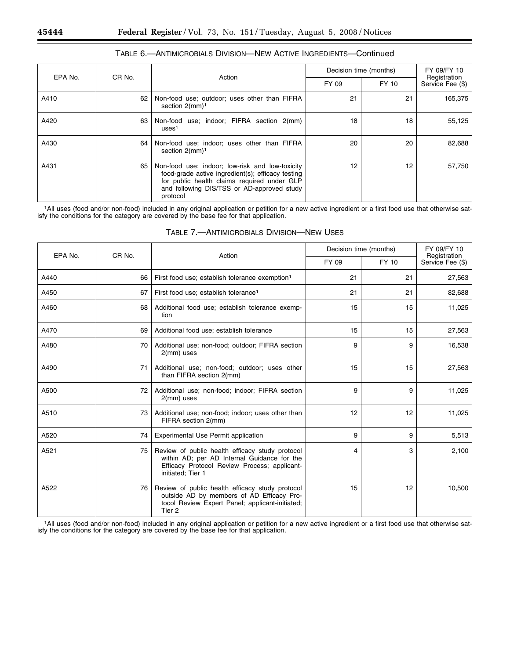$\sqrt{ }$ 

T

| EPA No. | CR No. |                                                                                                                                                                                                               | Decision time (months) |       | FY 09/FY 10<br>Registration |
|---------|--------|---------------------------------------------------------------------------------------------------------------------------------------------------------------------------------------------------------------|------------------------|-------|-----------------------------|
|         | Action |                                                                                                                                                                                                               | FY 09                  | FY 10 | Service Fee (\$)            |
| A410    | 62     | Non-food use; outdoor; uses other than FIFRA<br>section $2$ (mm) <sup>1</sup>                                                                                                                                 | 21                     | 21    | 165,375                     |
| A420    | 63     | use; indoor; FIFRA section 2(mm)<br>Non-food<br>uses <sup>1</sup>                                                                                                                                             | 18                     | 18    | 55,125                      |
| A430    | 64     | Non-food use; indoor; uses other than FIFRA<br>section $2$ (mm) <sup>1</sup>                                                                                                                                  | 20                     | 20    | 82,688                      |
| A431    | 65     | Non-food use; indoor; low-risk and low-toxicity<br>food-grade active ingredient(s); efficacy testing<br>for public health claims required under GLP<br>and following DIS/TSS or AD-approved study<br>protocol | 12                     | 12    | 57,750                      |

# TABLE 6.—ANTIMICROBIALS DIVISION—NEW ACTIVE INGREDIENTS—Continued

1All uses (food and/or non-food) included in any original application or petition for a new active ingredient or a first food use that otherwise satisfy the conditions for the category are covered by the base fee for that application.

| EPA No. | CR No. | Action                                                                                                                                                              | Decision time (months) |       | FY 09/FY 10<br>Registration |  |
|---------|--------|---------------------------------------------------------------------------------------------------------------------------------------------------------------------|------------------------|-------|-----------------------------|--|
|         |        |                                                                                                                                                                     | FY 09                  | FY 10 | Service Fee (\$)            |  |
| A440    | 66     | First food use; establish tolerance exemption <sup>1</sup>                                                                                                          | 21                     | 21    | 27,563                      |  |
| A450    | 67     | First food use; establish tolerance <sup>1</sup>                                                                                                                    | 21                     | 21    | 82,688                      |  |
| A460    | 68     | Additional food use; establish tolerance exemp-<br>tion                                                                                                             | 15                     | 15    | 11,025                      |  |
| A470    | 69     | Additional food use; establish tolerance                                                                                                                            | 15                     | 15    | 27,563                      |  |
| A480    | 70     | Additional use; non-food; outdoor; FIFRA section<br>$2$ (mm) uses                                                                                                   | 9                      | 9     | 16,538                      |  |
| A490    | 71     | Additional use; non-food; outdoor; uses other<br>than FIFRA section 2(mm)                                                                                           | 15                     | 15    | 27,563                      |  |
| A500    | 72     | Additional use; non-food; indoor; FIFRA section<br>$2$ (mm) uses                                                                                                    | 9                      | 9     | 11,025                      |  |
| A510    | 73     | Additional use; non-food; indoor; uses other than<br>FIFRA section 2(mm)                                                                                            | 12                     | 12    | 11,025                      |  |
| A520    | 74     | Experimental Use Permit application                                                                                                                                 | 9                      | 9     | 5,513                       |  |
| A521    | 75     | Review of public health efficacy study protocol<br>within AD; per AD Internal Guidance for the<br>Efficacy Protocol Review Process; applicant-<br>initiated; Tier 1 | 4                      | 3     | 2,100                       |  |
| A522    | 76     | Review of public health efficacy study protocol<br>outside AD by members of AD Efficacy Pro-<br>tocol Review Expert Panel; applicant-initiated;<br>Tier 2           | 15                     | 12    | 10,500                      |  |

# TABLE 7.—ANTIMICROBIALS DIVISION—NEW USES

Τ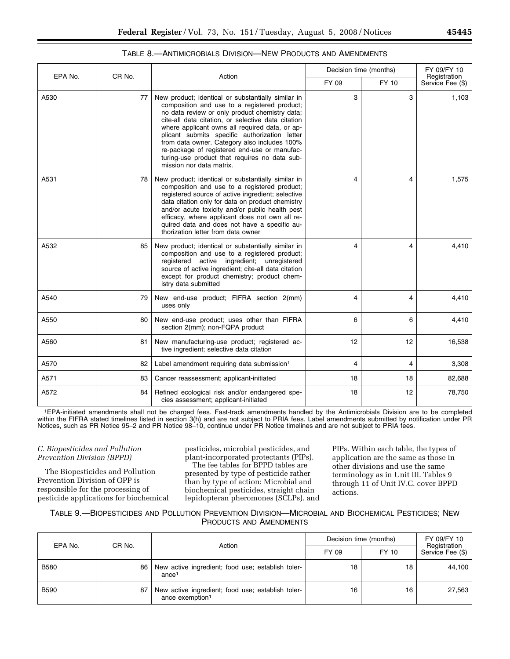| EPA No. | CR No. | Action                                                                                                                                                                                                                                                                                                                                                                                                                                                                                     | Decision time (months) |       | FY 09/FY 10                      |
|---------|--------|--------------------------------------------------------------------------------------------------------------------------------------------------------------------------------------------------------------------------------------------------------------------------------------------------------------------------------------------------------------------------------------------------------------------------------------------------------------------------------------------|------------------------|-------|----------------------------------|
|         |        |                                                                                                                                                                                                                                                                                                                                                                                                                                                                                            |                        | FY 10 | Registration<br>Service Fee (\$) |
| A530    | 77     | New product; identical or substantially similar in<br>composition and use to a registered product;<br>no data review or only product chemistry data;<br>cite-all data citation, or selective data citation<br>where applicant owns all required data, or ap-<br>plicant submits specific authorization letter<br>from data owner. Category also includes 100%<br>re-package of registered end-use or manufac-<br>turing-use product that requires no data sub-<br>mission nor data matrix. | 3                      | 3     | 1,103                            |
| A531    | 78     | New product; identical or substantially similar in<br>composition and use to a registered product;<br>registered source of active ingredient; selective<br>data citation only for data on product chemistry<br>and/or acute toxicity and/or public health pest<br>efficacy, where applicant does not own all re-<br>quired data and does not have a specific au-<br>thorization letter from data owner                                                                                     | 4                      | 4     | 1,575                            |
| A532    | 85     | New product; identical or substantially similar in<br>composition and use to a registered product;<br>registered active ingredient; unregistered<br>source of active ingredient; cite-all data citation<br>except for product chemistry; product chem-<br>istry data submitted                                                                                                                                                                                                             | 4                      | 4     | 4,410                            |
| A540    | 79     | New end-use product; FIFRA section 2(mm)<br>uses only                                                                                                                                                                                                                                                                                                                                                                                                                                      | 4                      | 4     | 4,410                            |
| A550    | 80     | New end-use product; uses other than FIFRA<br>section 2(mm); non-FQPA product                                                                                                                                                                                                                                                                                                                                                                                                              | 6                      | 6     | 4,410                            |
| A560    | 81     | New manufacturing-use product; registered ac-<br>tive ingredient; selective data citation                                                                                                                                                                                                                                                                                                                                                                                                  | 12                     | 12    | 16,538                           |
| A570    | 82     | Label amendment requiring data submission <sup>1</sup>                                                                                                                                                                                                                                                                                                                                                                                                                                     | 4                      | 4     | 3,308                            |
| A571    | 83     | Cancer reassessment; applicant-initiated                                                                                                                                                                                                                                                                                                                                                                                                                                                   | 18                     | 18    | 82,688                           |
| A572    | 84     | Refined ecological risk and/or endangered spe-<br>cies assessment; applicant-initiated                                                                                                                                                                                                                                                                                                                                                                                                     | 18                     | 12    | 78,750                           |

## TABLE 8.—ANTIMICROBIALS DIVISION—NEW PRODUCTS AND AMENDMENTS

1EPA-initiated amendments shall not be charged fees. Fast-track amendments handled by the Antimicrobials Division are to be completed within the FIFRA stated timelines listed in section 3(h) and are not subject to PRIA fees. Label amendments submitted by notification under PR Notices, such as PR Notice 95–2 and PR Notice 98–10, continue under PR Notice timelines and are not subject to PRIA fees.

# *C. Biopesticides and Pollution Prevention Division (BPPD)*

The Biopesticides and Pollution Prevention Division of OPP is responsible for the processing of pesticide applications for biochemical pesticides, microbial pesticides, and plant-incorporated protectants (PIPs).

The fee tables for BPPD tables are presented by type of pesticide rather than by type of action: Microbial and biochemical pesticides, straight chain lepidopteran pheromones (SCLPs), and PIPs. Within each table, the types of application are the same as those in other divisions and use the same terminology as in Unit III. Tables 9 through 11 of Unit IV.C. cover BPPD actions.

TABLE 9.—BIOPESTICIDES AND POLLUTION PREVENTION DIVISION—MICROBIAL AND BIOCHEMICAL PESTICIDES; NEW PRODUCTS AND AMENDMENTS

| EPA No.     | CR No. | Action                                                                           | Decision time (months) | FY 09/FY 10<br>Registration |                  |
|-------------|--------|----------------------------------------------------------------------------------|------------------------|-----------------------------|------------------|
|             |        |                                                                                  | FY 09                  | FY 10                       | Service Fee (\$) |
| <b>B580</b> | 86     | New active ingredient; food use; establish toler-<br>ance <sup>1</sup>           | 18                     | 18                          | 44.100           |
| <b>B590</b> | 87     | New active ingredient; food use; establish toler-<br>ance exemption <sup>1</sup> | 16                     | 16                          | 27.563           |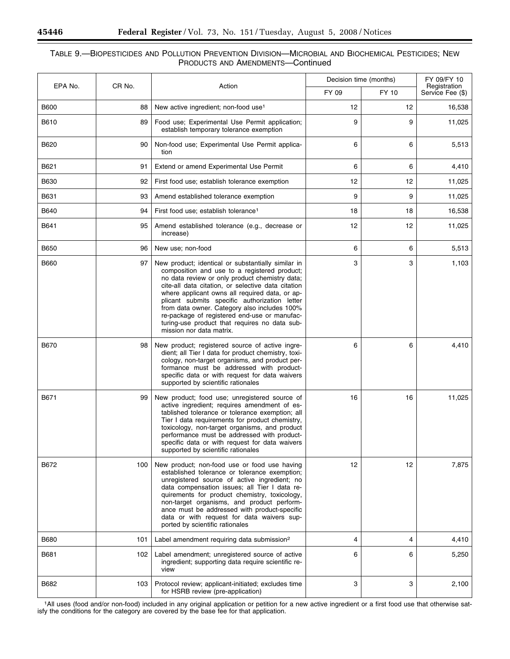e.

п

# TABLE 9.—BIOPESTICIDES AND POLLUTION PREVENTION DIVISION—MICROBIAL AND BIOCHEMICAL PESTICIDES; NEW PRODUCTS AND AMENDMENTS—Continued

| EPA No.     | CR No. | Action                                                                                                                                                                                                                                                                                                                                                                                                                                                                                     | Decision time (months) | FY 09/FY 10<br>Registration |                  |
|-------------|--------|--------------------------------------------------------------------------------------------------------------------------------------------------------------------------------------------------------------------------------------------------------------------------------------------------------------------------------------------------------------------------------------------------------------------------------------------------------------------------------------------|------------------------|-----------------------------|------------------|
|             |        |                                                                                                                                                                                                                                                                                                                                                                                                                                                                                            | FY 09                  | FY 10                       | Service Fee (\$) |
| <b>B600</b> | 88     | New active ingredient; non-food use <sup>1</sup>                                                                                                                                                                                                                                                                                                                                                                                                                                           | 12                     | 12                          | 16,538           |
| B610        | 89     | Food use: Experimental Use Permit application;<br>establish temporary tolerance exemption                                                                                                                                                                                                                                                                                                                                                                                                  | 9                      | 9                           | 11,025           |
| B620        | 90     | Non-food use; Experimental Use Permit applica-<br>tion                                                                                                                                                                                                                                                                                                                                                                                                                                     | 6                      | 6                           | 5,513            |
| B621        | 91     | Extend or amend Experimental Use Permit                                                                                                                                                                                                                                                                                                                                                                                                                                                    | 6                      | 6                           | 4,410            |
| B630        | 92     | First food use; establish tolerance exemption                                                                                                                                                                                                                                                                                                                                                                                                                                              | 12                     | 12                          | 11,025           |
| B631        | 93     | Amend established tolerance exemption                                                                                                                                                                                                                                                                                                                                                                                                                                                      | 9                      | 9                           | 11,025           |
| B640        | 94     | First food use; establish tolerance <sup>1</sup>                                                                                                                                                                                                                                                                                                                                                                                                                                           | 18                     | 18                          | 16,538           |
| B641        | 95     | Amend established tolerance (e.g., decrease or<br>increase)                                                                                                                                                                                                                                                                                                                                                                                                                                | 12                     | 12                          | 11,025           |
| <b>B650</b> | 96     | New use; non-food                                                                                                                                                                                                                                                                                                                                                                                                                                                                          | 6                      | 6                           | 5,513            |
| B660        | 97     | New product; identical or substantially similar in<br>composition and use to a registered product;<br>no data review or only product chemistry data;<br>cite-all data citation, or selective data citation<br>where applicant owns all required data, or ap-<br>plicant submits specific authorization letter<br>from data owner. Category also includes 100%<br>re-package of registered end-use or manufac-<br>turing-use product that requires no data sub-<br>mission nor data matrix. | 3                      | 3                           | 1,103            |
| B670        | 98     | New product; registered source of active ingre-<br>dient; all Tier I data for product chemistry, toxi-<br>cology, non-target organisms, and product per-<br>formance must be addressed with product-<br>specific data or with request for data waivers<br>supported by scientific rationales                                                                                                                                                                                               | 6                      | 6                           | 4,410            |
| B671        | 99     | New product; food use; unregistered source of<br>active ingredient; requires amendment of es-<br>tablished tolerance or tolerance exemption; all<br>Tier I data requirements for product chemistry,<br>toxicology, non-target organisms, and product<br>performance must be addressed with product-<br>specific data or with request for data waivers<br>supported by scientific rationales                                                                                                | 16                     | 16                          | 11,025           |
| B672        | 100    | New product; non-food use or food use having<br>established tolerance or tolerance exemption;<br>unregistered source of active ingredient; no<br>data compensation issues; all Tier I data re-<br>quirements for product chemistry, toxicology,<br>non-target organisms, and product perform-<br>ance must be addressed with product-specific<br>data or with request for data waivers sup-<br>ported by scientific rationales                                                             | 12                     | $12 \overline{ }$           | 7,875            |
| <b>B680</b> | 101    | Label amendment requiring data submission <sup>2</sup>                                                                                                                                                                                                                                                                                                                                                                                                                                     | 4                      | 4                           | 4,410            |
| B681        | 102    | Label amendment; unregistered source of active<br>ingredient; supporting data require scientific re-<br>view                                                                                                                                                                                                                                                                                                                                                                               | 6                      | 6                           | 5,250            |
| B682        | 103    | Protocol review; applicant-initiated; excludes time<br>for HSRB review (pre-application)                                                                                                                                                                                                                                                                                                                                                                                                   | 3                      | 3                           | 2,100            |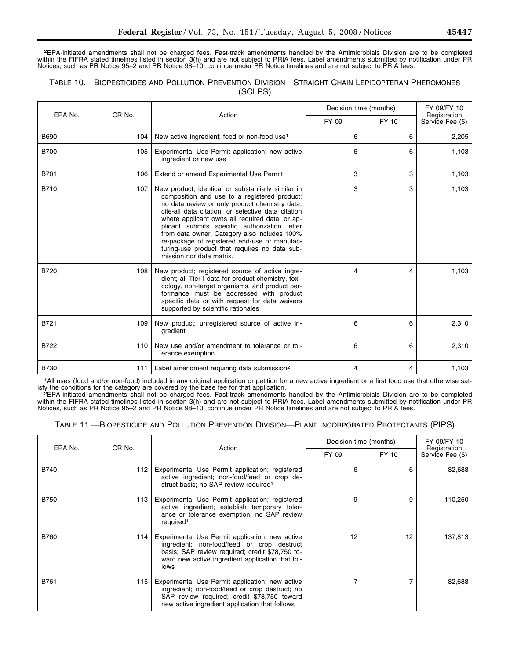2EPA-initiated amendments shall not be charged fees. Fast-track amendments handled by the Antimicrobials Division are to be completed within the FIFRA stated timelines listed in section 3(h) and are not subject to PRIA fees. Label amendments submitted by notification under PR Notices, such as PR Notice 95–2 and PR Notice 98–10, continue under PR Notice timelines and are not subject to PRIA fees.

# TABLE 10.—BIOPESTICIDES AND POLLUTION PREVENTION DIVISION—STRAIGHT CHAIN LEPIDOPTERAN PHEROMONES (SCLPS)

| EPA No.     | CR No. | Action                                                                                                                                                                                                                                                                                                                                                                                                                                                                                     | Decision time (months) |       | FY 09/FY 10<br>Registration<br>Service Fee (\$) |
|-------------|--------|--------------------------------------------------------------------------------------------------------------------------------------------------------------------------------------------------------------------------------------------------------------------------------------------------------------------------------------------------------------------------------------------------------------------------------------------------------------------------------------------|------------------------|-------|-------------------------------------------------|
|             |        |                                                                                                                                                                                                                                                                                                                                                                                                                                                                                            | FY 09                  | FY 10 |                                                 |
| <b>B690</b> | 104    | New active ingredient; food or non-food use <sup>1</sup>                                                                                                                                                                                                                                                                                                                                                                                                                                   | 6                      | 6     | 2,205                                           |
| <b>B700</b> | 105    | Experimental Use Permit application; new active<br>ingredient or new use                                                                                                                                                                                                                                                                                                                                                                                                                   | 6                      | 6     | 1,103                                           |
| B701        | 106    | Extend or amend Experimental Use Permit                                                                                                                                                                                                                                                                                                                                                                                                                                                    | 3                      | 3     | 1,103                                           |
| <b>B710</b> | 107    | New product; identical or substantially similar in<br>composition and use to a registered product;<br>no data review or only product chemistry data;<br>cite-all data citation, or selective data citation<br>where applicant owns all required data, or ap-<br>plicant submits specific authorization letter<br>from data owner. Category also includes 100%<br>re-package of registered end-use or manufac-<br>turing-use product that requires no data sub-<br>mission nor data matrix. | 3                      | 3     | 1,103                                           |
| <b>B720</b> | 108    | New product; registered source of active ingre-<br>dient; all Tier I data for product chemistry, toxi-<br>cology, non-target organisms, and product per-<br>formance must be addressed with product<br>specific data or with request for data waivers<br>supported by scientific rationales                                                                                                                                                                                                | 4                      | 4     | 1,103                                           |
| B721        | 109    | New product; unregistered source of active in-<br>gredient                                                                                                                                                                                                                                                                                                                                                                                                                                 | 6                      | 6     | 2,310                                           |
| <b>B722</b> | 110    | New use and/or amendment to tolerance or tol-<br>erance exemption                                                                                                                                                                                                                                                                                                                                                                                                                          | 6                      | 6     | 2,310                                           |
| <b>B730</b> | 111    | Label amendment requiring data submission <sup>2</sup>                                                                                                                                                                                                                                                                                                                                                                                                                                     | 4                      | 4     | 1,103                                           |

1All uses (food and/or non-food) included in any original application or petition for a new active ingredient or a first food use that otherwise satisfy the conditions for the category are covered by the base fee for that

<sup>2</sup>EPA-initiated amendments shall not be charged fees. Fast-track amendments handled by the Antimicrobials Division are to be completed within the FIFRA stated timelines listed in section 3(h) and are not subject to PRIA fees. Label amendments submitted by notification under PR Notices, such as PR Notice 95–2 and PR Notice 98–10, continue under PR Notice timelines and are not subject to PRIA fees.

|  |  | TABLE 11.—BIOPESTICIDE AND POLLUTION PREVENTION DIVISION—PLANT INCORPORATED PROTECTANTS (PIPS) |  |  |
|--|--|------------------------------------------------------------------------------------------------|--|--|
|--|--|------------------------------------------------------------------------------------------------|--|--|

| EPA No.     | CR No. | Action                                                                                                                                                                                                       |       | Decision time (months) | FY 09/FY 10<br>Registration |
|-------------|--------|--------------------------------------------------------------------------------------------------------------------------------------------------------------------------------------------------------------|-------|------------------------|-----------------------------|
|             |        |                                                                                                                                                                                                              | FY 09 | FY 10                  | Service Fee (\$)            |
| <b>B740</b> | 112    | Experimental Use Permit application; registered<br>active ingredient; non-food/feed or crop de-<br>struct basis; no SAP review required <sup>1</sup>                                                         | 6     | 6                      | 82,688                      |
| <b>B750</b> | 113    | Experimental Use Permit application; registered<br>active ingredient; establish temporary toler-<br>ance or tolerance exemption; no SAP review<br>required <sup>1</sup>                                      | 9     | 9                      | 110,250                     |
| <b>B760</b> | 114    | Experimental Use Permit application; new active<br>ingredient; non-food/feed or crop destruct<br>basis; SAP review required; credit \$78,750 to-<br>ward new active ingredient application that fol-<br>lows | 12    | 12                     | 137,813                     |
| B761        | 115    | Experimental Use Permit application; new active<br>ingredient; non-food/feed or crop destruct; no<br>SAP review required; credit \$78,750 toward<br>new active ingredient application that follows           |       | 7                      | 82,688                      |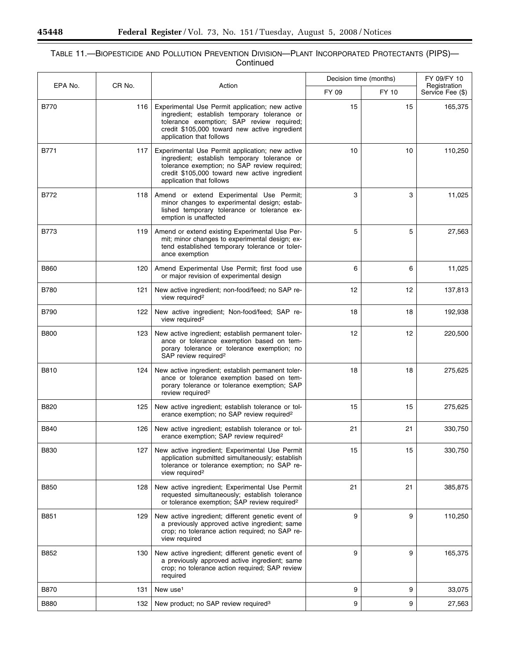۰

Ξ

# TABLE 11.—BIOPESTICIDE AND POLLUTION PREVENTION DIVISION—PLANT INCORPORATED PROTECTANTS (PIPS)— Continued

| EPA No.     | CR No. | Action                                                                                                                                                                                                                       | Decision time (months) |       | FY 09/FY 10<br>Registration |  |
|-------------|--------|------------------------------------------------------------------------------------------------------------------------------------------------------------------------------------------------------------------------------|------------------------|-------|-----------------------------|--|
|             |        |                                                                                                                                                                                                                              | FY 09                  | FY 10 | Service Fee (\$)            |  |
| <b>B770</b> | 116    | Experimental Use Permit application; new active<br>ingredient; establish temporary tolerance or<br>tolerance exemption; SAP review required;<br>credit \$105,000 toward new active ingredient<br>application that follows    | 15                     | 15    | 165,375                     |  |
| B771        | 117    | Experimental Use Permit application; new active<br>ingredient; establish temporary tolerance or<br>tolerance exemption; no SAP review required;<br>credit \$105,000 toward new active ingredient<br>application that follows | 10                     | 10    | 110,250                     |  |
| B772        | 118    | Amend or extend Experimental Use Permit;<br>minor changes to experimental design; estab-<br>lished temporary tolerance or tolerance ex-<br>emption is unaffected                                                             | 3                      | 3     | 11,025                      |  |
| <b>B773</b> | 119    | Amend or extend existing Experimental Use Per-<br>mit; minor changes to experimental design; ex-<br>tend established temporary tolerance or toler-<br>ance exemption                                                         | 5                      | 5     | 27,563                      |  |
| <b>B860</b> | 120    | Amend Experimental Use Permit; first food use<br>or major revision of experimental design                                                                                                                                    | 6                      | 6     | 11,025                      |  |
| <b>B780</b> | 121    | New active ingredient; non-food/feed; no SAP re-<br>view required <sup>2</sup>                                                                                                                                               | 12                     | 12    | 137,813                     |  |
| <b>B790</b> | 122    | New active ingredient; Non-food/feed; SAP re-<br>view required <sup>2</sup>                                                                                                                                                  | 18                     | 18    | 192,938                     |  |
| <b>B800</b> | 123    | New active ingredient; establish permanent toler-<br>ance or tolerance exemption based on tem-<br>porary tolerance or tolerance exemption; no<br>SAP review required <sup>2</sup>                                            | 12                     | 12    | 220,500                     |  |
| B810        | 124    | New active ingredient; establish permanent toler-<br>ance or tolerance exemption based on tem-<br>porary tolerance or tolerance exemption; SAP<br>review required <sup>2</sup>                                               | 18                     | 18    | 275,625                     |  |
| B820        | 125    | New active ingredient; establish tolerance or tol-<br>erance exemption; no SAP review required <sup>2</sup>                                                                                                                  | 15                     | 15    | 275,625                     |  |
| B840        | 126    | New active ingredient; establish tolerance or tol-<br>erance exemption; SAP review required <sup>2</sup>                                                                                                                     | 21                     | 21    | 330,750                     |  |
| <b>B830</b> | 127    | New active ingredient; Experimental Use Permit<br>application submitted simultaneously; establish<br>tolerance or tolerance exemption; no SAP re-<br>view required <sup>2</sup>                                              | 15                     | 15    | 330,750                     |  |
| B850        | 128    | New active ingredient; Experimental Use Permit<br>requested simultaneously; establish tolerance<br>or tolerance exemption; SAP review required <sup>2</sup>                                                                  | 21                     | 21    | 385,875                     |  |
| B851        | 129    | New active ingredient; different genetic event of<br>a previously approved active ingredient; same<br>crop; no tolerance action required; no SAP re-<br>view required                                                        | 9                      | 9     | 110,250                     |  |
| B852        | 130    | New active ingredient; different genetic event of<br>a previously approved active ingredient; same<br>crop; no tolerance action required; SAP review<br>required                                                             | 9                      | 9     | 165,375                     |  |
| <b>B870</b> | 131    | New use <sup>1</sup>                                                                                                                                                                                                         | 9                      | 9     | 33,075                      |  |
| <b>B880</b> | 132    | New product; no SAP review required <sup>3</sup>                                                                                                                                                                             | 9                      | 9     | 27,563                      |  |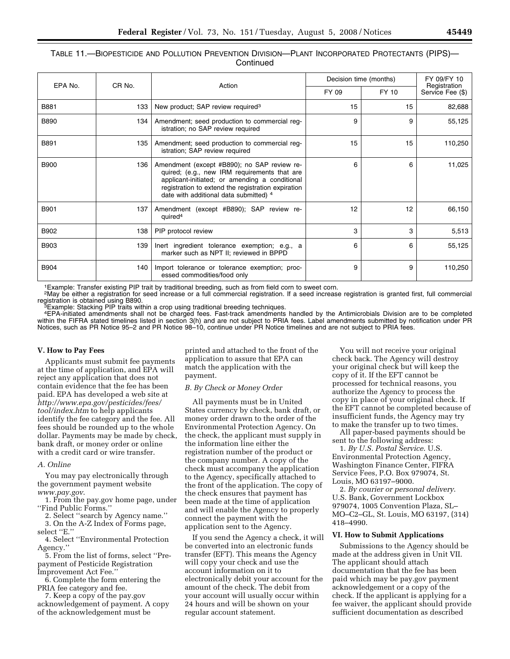# TABLE 11.—BIOPESTICIDE AND POLLUTION PREVENTION DIVISION—PLANT INCORPORATED PROTECTANTS (PIPS)— **Continued**

|             | CR No. | Action                                                                                                                                                                                                                                        | Decision time (months) | FY 09/FY 10 |                                  |
|-------------|--------|-----------------------------------------------------------------------------------------------------------------------------------------------------------------------------------------------------------------------------------------------|------------------------|-------------|----------------------------------|
| EPA No.     |        |                                                                                                                                                                                                                                               | FY 09                  | FY 10       | Registration<br>Service Fee (\$) |
| B881        | 133    | New product; SAP review required <sup>3</sup>                                                                                                                                                                                                 | 15                     | 15          | 82,688                           |
| <b>B890</b> | 134    | Amendment; seed production to commercial reg-<br>istration; no SAP review required                                                                                                                                                            | 9                      | 9           | 55,125                           |
| B891        | 135    | Amendment; seed production to commercial reg-<br>istration; SAP review required                                                                                                                                                               | 15                     | 15          | 110,250                          |
| <b>B900</b> | 136    | Amendment (except #B890); no SAP review re-<br>quired; (e.g., new IRM requirements that are<br>applicant-initiated; or amending a conditional<br>registration to extend the registration expiration<br>date with additional data submitted) 4 | 6                      | 6           | 11,025                           |
| <b>B901</b> | 137    | Amendment (except #B890); SAP review re-<br>quired <sup>4</sup>                                                                                                                                                                               | 12                     | 12          | 66,150                           |
| B902        | 138    | PIP protocol review                                                                                                                                                                                                                           | 3                      | 3           | 5,513                            |
| <b>B903</b> | 139    | lnert ingredient tolerance exemption; e.g., a<br>marker such as NPT II; reviewed in BPPD                                                                                                                                                      | 6                      | 6           | 55,125                           |
| <b>B904</b> | 140    | Import tolerance or tolerance exemption; proc-<br>essed commodities/food only                                                                                                                                                                 | 9                      | 9           | 110,250                          |

1Example: Transfer existing PIP trait by traditional breeding, such as from field corn to sweet corn.

<sup>2</sup>May be either a registration for seed increase or a full commercial registration. If a seed increase registration is granted first, full commercial registration is obtained using B890.

 ${}^{3}$ Example: Stacking PIP traits within a crop using traditional breeding techniques.

4EPA-initiated amendments shall not be charged fees. Fast-track amendments handled by the Antimicrobials Division are to be completed within the FIFRA stated timelines listed in section 3(h) and are not subject to PRIA fees. Label amendments submitted by notification under PR Notices, such as PR Notice 95–2 and PR Notice 98–10, continue under PR Notice timelines and are not subject to PRIA fees.

#### **V. How to Pay Fees**

Applicants must submit fee payments at the time of application, and EPA will reject any application that does not contain evidence that the fee has been paid. EPA has developed a web site at *http://www.epa.gov/pesticides/fees/ tool/index.htm* to help applicants identify the fee category and the fee. All fees should be rounded up to the whole dollar. Payments may be made by check, bank draft, or money order or online with a credit card or wire transfer.

#### *A. Online*

You may pay electronically through the government payment website *www.pay.gov*.

1. From the pay.gov home page, under ''Find Public Forms.''

2. Select ''search by Agency name.''

3. On the A-Z Index of Forms page, select "E.'

4. Select ''Environmental Protection Agency.''

5. From the list of forms, select ''Prepayment of Pesticide Registration Improvement Act Fee.''

6. Complete the form entering the PRIA fee category and fee.

7. Keep a copy of the pay.gov acknowledgement of payment. A copy of the acknowledgement must be

printed and attached to the front of the application to assure that EPA can match the application with the payment.

#### *B. By Check or Money Order*

All payments must be in United States currency by check, bank draft, or money order drawn to the order of the Environmental Protection Agency. On the check, the applicant must supply in the information line either the registration number of the product or the company number. A copy of the check must accompany the application to the Agency, specifically attached to the front of the application. The copy of the check ensures that payment has been made at the time of application and will enable the Agency to properly connect the payment with the application sent to the Agency.

If you send the Agency a check, it will be converted into an electronic funds transfer (EFT). This means the Agency will copy your check and use the account information on it to electronically debit your account for the amount of the check. The debit from your account will usually occur within 24 hours and will be shown on your regular account statement.

You will not receive your original check back. The Agency will destroy your original check but will keep the copy of it. If the EFT cannot be processed for technical reasons, you authorize the Agency to process the copy in place of your original check. If the EFT cannot be completed because of insufficient funds, the Agency may try to make the transfer up to two times.

All paper-based payments should be sent to the following address:

1. *By U.S. Postal Service*. U.S. Environmental Protection Agency, Washington Finance Center, FIFRA Service Fees, P.O. Box 979074, St. Louis, MO 63197–9000.

2. *By courier or personal delivery*. U.S. Bank, Government Lockbox 979074, 1005 Convention Plaza, SL– MO–C2–GL, St. Louis, MO 63197, (314) 418–4990.

#### **VI. How to Submit Applications**

Submissions to the Agency should be made at the address given in Unit VII. The applicant should attach documentation that the fee has been paid which may be pay.gov payment acknowledgement or a copy of the check. If the applicant is applying for a fee waiver, the applicant should provide sufficient documentation as described